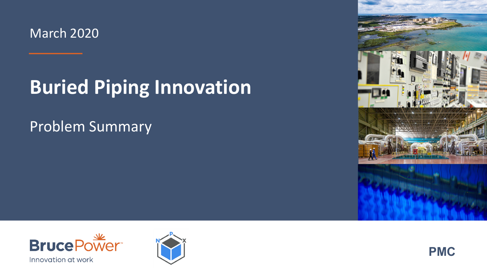March 2020

### **Buried Piping Innovation**

#### Problem Summary







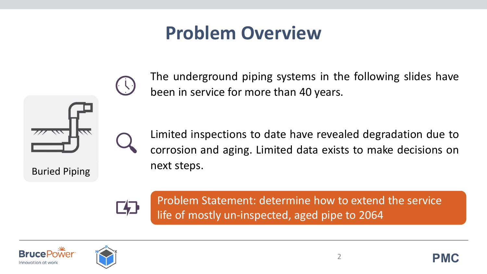#### **Problem Overview**



Buried Piping

The underground piping systems in the following slides have been in service for more than 40 years.

Limited inspections to date have revealed degradation due to corrosion and aging. Limited data exists to make decisions on next steps.

**F41** 

Problem Statement: determine how to extend the service life of mostly un-inspected, aged pipe to 2064





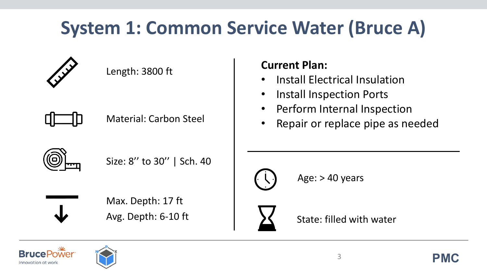## **System 1: Common Service Water (Bruce A)**



α

|   | Max. Depth: 17 ft<br>Avg. Depth: 6-10 ft |  |
|---|------------------------------------------|--|
| Ц | Size: 8" to 30"   Sch. 40                |  |
|   | <b>Material: Carbon Steel</b>            |  |
|   | LUIRUI. JOUU IL                          |  |

 $L$ ength: 3800 ft

#### **Current Plan:**

- Install Electrical Insulation
- Install Inspection Ports
- Perform Internal Inspection
- Repair or replace pipe as needed



Age: > 40 years



State: filled with water



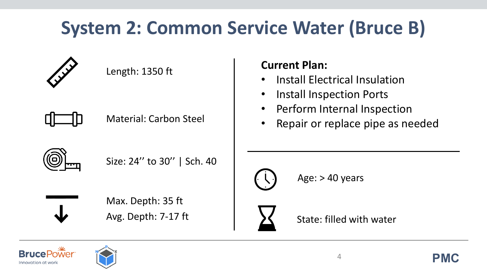## **System 2: Common Service Water (Bruce B)**



Έ

| .P.                           |  |
|-------------------------------|--|
|                               |  |
| Avg. Depth: 7-17 ft           |  |
| Max. Depth: 35 ft             |  |
| Size: 24" to 30"   Sch. 40    |  |
|                               |  |
| <b>Material: Carbon Steel</b> |  |
|                               |  |
| LUIRUI. LJJU IL               |  |

 $L$ ength: 1350 ft

#### **Current Plan:**

- Install Electrical Insulation
- Install Inspection Ports
- Perform Internal Inspection
- Repair or replace pipe as needed



Age: > 40 years



State: filled with water



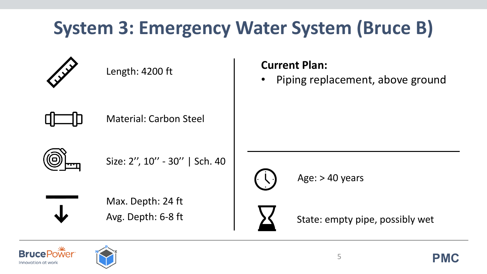## **System 3: Emergency Water System (Bruce B)**



|    | Length: 4200 ft                         | <b>Current Plan:</b><br>Piping replacement, above ground |
|----|-----------------------------------------|----------------------------------------------------------|
|    | <b>Material: Carbon Steel</b>           |                                                          |
| Θ) | Size: 2", 10" - 30"   Sch. 40           | Age: $> 40$ years                                        |
|    | Max. Depth: 24 ft<br>Avg. Depth: 6-8 ft | State: empty pipe, possibly wet                          |



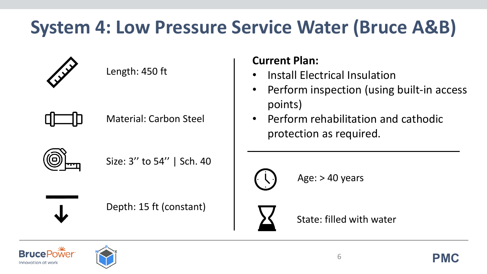### **System 4: Low Pressure Service Water (Bruce A&B)**



o

| Material: Carbon Steel    |
|---------------------------|
| Size: 3" to 54"   Sch. 40 |
| Depth: 15 ft (constant)   |

Length: 450 ft

#### **Current Plan:**

- Install Electrical Insulation
- Perform inspection (using built-in access points)
- Perform rehabilitation and cathodic protection as required.



Age: > 40 years



State: filled with water



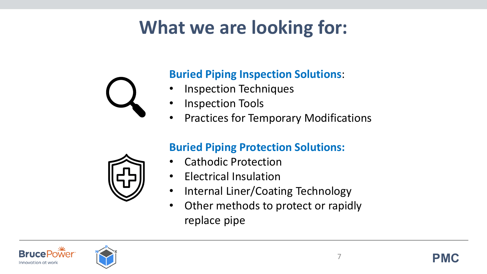### **What we are looking for:**



#### **Buried Piping Inspection Solutions**:

- Inspection Techniques
- Inspection Tools
- Practices for Temporary Modifications

#### **Buried Piping Protection Solutions:**

- Cathodic Protection
- Electrical Insulation
- Internal Liner/Coating Technology
- Other methods to protect or rapidly replace pipe